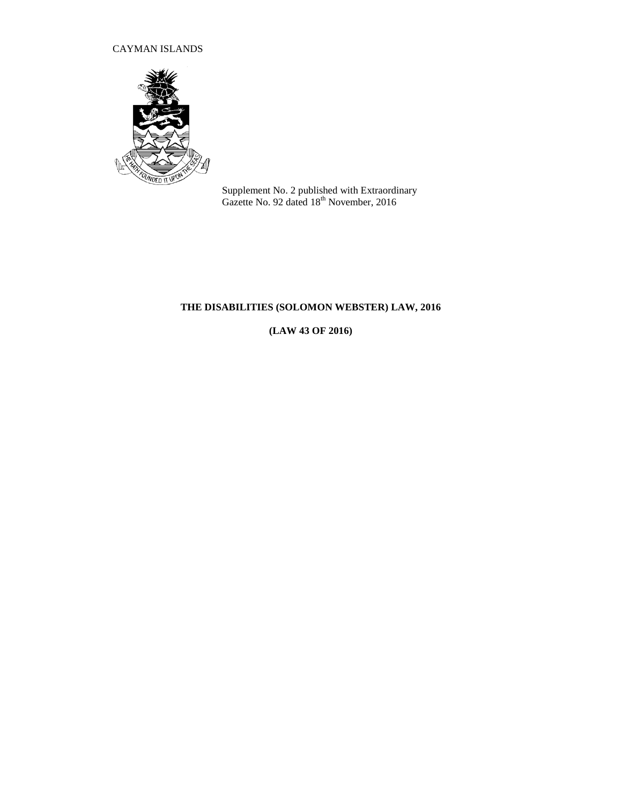# CAYMAN ISLANDS



Supplement No. 2 published with Extraordinary Gazette No. 92 dated  $18^{th}$  November, 2016

# **THE DISABILITIES (SOLOMON WEBSTER) LAW, 2016**

**(LAW 43 OF 2016)**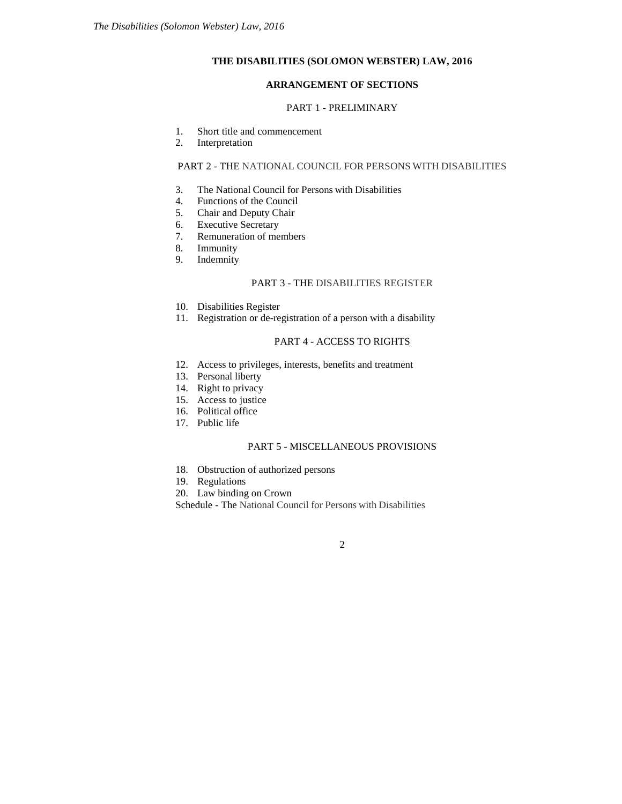### **THE DISABILITIES (SOLOMON WEBSTER) LAW, 2016**

### **ARRANGEMENT OF SECTIONS**

#### PART 1 - PRELIMINARY

- 1. Short title and commencement
- 2. Interpretation

# PART 2 - THE NATIONAL COUNCIL FOR PERSONS WITH DISABILITIES

- 3. The National Council for Persons with Disabilities
- 4. Functions of the Council
- 5. Chair and Deputy Chair
- 
- 6. Executive Secretary<br>7. Remuneration of me Remuneration of members
- 8. Immunity
- 9. Indemnity

### PART 3 - THE DISABILITIES REGISTER

- 10. Disabilities Register
- 11. Registration or de-registration of a person with a disability

# PART 4 - ACCESS TO RIGHTS

- 12. Access to privileges, interests, benefits and treatment
- 13. Personal liberty
- 14. Right to privacy
- 15. Access to justice
- 16. Political office
- 17. Public life

# PART 5 - MISCELLANEOUS PROVISIONS

- 18. Obstruction of authorized persons
- 19. Regulations
- 20. Law binding on Crown

Schedule - The National Council for Persons with Disabilities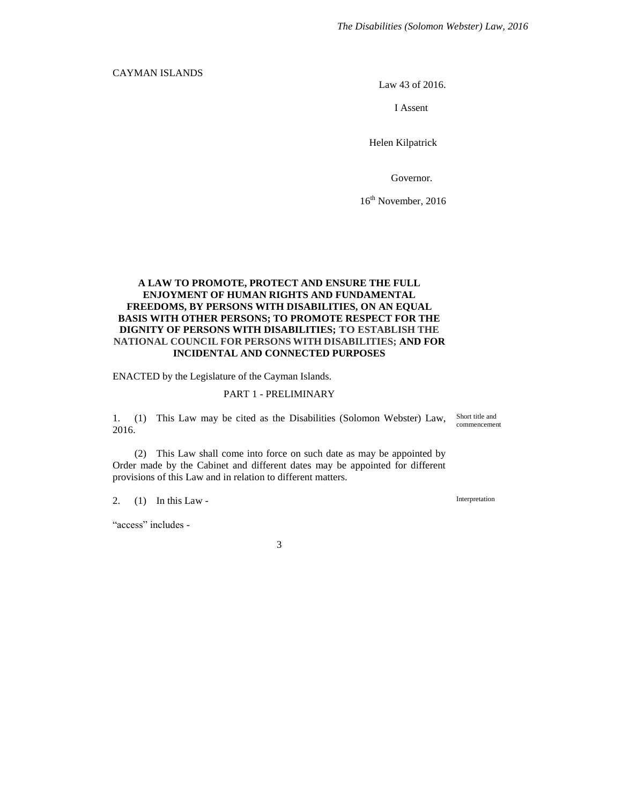# CAYMAN ISLANDS

Law 43 of 2016.

I Assent

Helen Kilpatrick

Governor.

16<sup>th</sup> November, 2016

# **A LAW TO PROMOTE, PROTECT AND ENSURE THE FULL ENJOYMENT OF HUMAN RIGHTS AND FUNDAMENTAL FREEDOMS, BY PERSONS WITH DISABILITIES, ON AN EQUAL BASIS WITH OTHER PERSONS; TO PROMOTE RESPECT FOR THE DIGNITY OF PERSONS WITH DISABILITIES; TO ESTABLISH THE NATIONAL COUNCIL FOR PERSONS WITH DISABILITIES; AND FOR INCIDENTAL AND CONNECTED PURPOSES**

ENACTED by the Legislature of the Cayman Islands.

#### PART 1 - PRELIMINARY

1. (1) This Law may be cited as the Disabilities (Solomon Webster) Law, 2016.

(2) This Law shall come into force on such date as may be appointed by Order made by the Cabinet and different dates may be appointed for different provisions of this Law and in relation to different matters.

2. (1) In this Law -

"access" includes -

3

Interpretation

Short title and commencement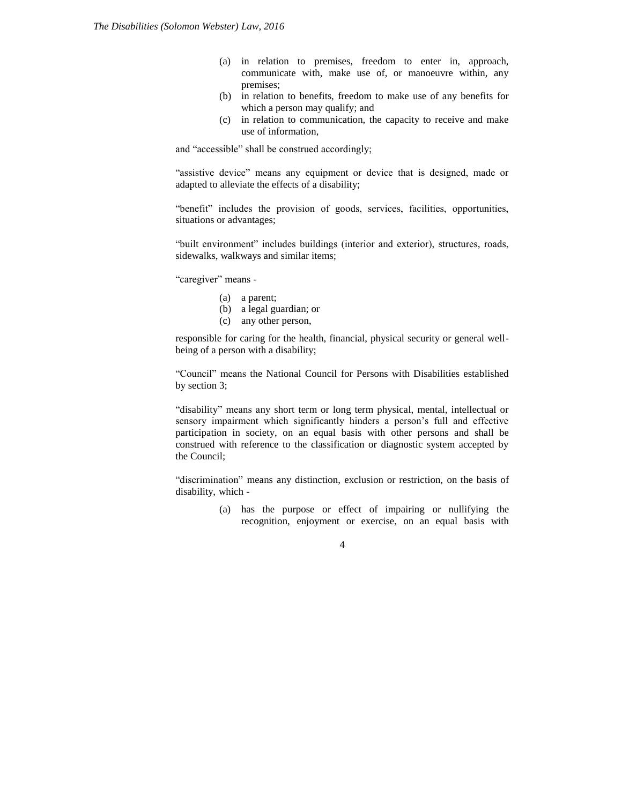- (a) in relation to premises, freedom to enter in, approach, communicate with, make use of, or manoeuvre within, any premises;
- (b) in relation to benefits, freedom to make use of any benefits for which a person may qualify; and
- (c) in relation to communication, the capacity to receive and make use of information,

and "accessible" shall be construed accordingly;

"assistive device" means any equipment or device that is designed, made or adapted to alleviate the effects of a disability;

"benefit" includes the provision of goods, services, facilities, opportunities, situations or advantages;

"built environment" includes buildings (interior and exterior), structures, roads, sidewalks, walkways and similar items;

"caregiver" means -

- (a) a parent;
- (b) a legal guardian; or
- (c) any other person,

responsible for caring for the health, financial, physical security or general wellbeing of a person with a disability;

"Council" means the National Council for Persons with Disabilities established by section 3;

"disability" means any short term or long term physical, mental, intellectual or sensory impairment which significantly hinders a person's full and effective participation in society, on an equal basis with other persons and shall be construed with reference to the classification or diagnostic system accepted by the Council;

"discrimination" means any distinction, exclusion or restriction, on the basis of disability, which -

> (a) has the purpose or effect of impairing or nullifying the recognition, enjoyment or exercise, on an equal basis with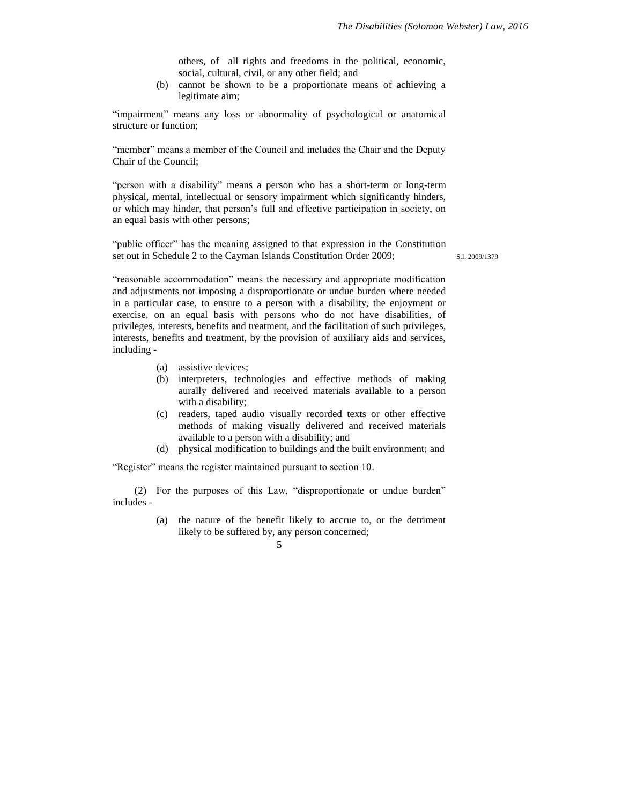others, of all rights and freedoms in the political, economic, social, cultural, civil, or any other field; and

(b) cannot be shown to be a proportionate means of achieving a legitimate aim;

"impairment" means any loss or abnormality of psychological or anatomical structure or function;

"member" means a member of the Council and includes the Chair and the Deputy Chair of the Council;

"person with a disability" means a person who has a short-term or long-term physical, mental, intellectual or sensory impairment which significantly hinders, or which may hinder, that person's full and effective participation in society, on an equal basis with other persons;

"public officer" has the meaning assigned to that expression in the Constitution set out in Schedule 2 to the Cayman Islands Constitution Order 2009;

S.I. 2009/1379

"reasonable accommodation" means the necessary and appropriate modification and adjustments not imposing a disproportionate or undue burden where needed in a particular case, to ensure to a person with a disability, the enjoyment or exercise, on an equal basis with persons who do not have disabilities, of privileges, interests, benefits and treatment, and the facilitation of such privileges, interests, benefits and treatment, by the provision of auxiliary aids and services, including -

- (a) assistive devices;
- (b) interpreters, technologies and effective methods of making aurally delivered and received materials available to a person with a disability;
- (c) readers, taped audio visually recorded texts or other effective methods of making visually delivered and received materials available to a person with a disability; and
- (d) physical modification to buildings and the built environment; and

"Register" means the register maintained pursuant to section 10.

(2) For the purposes of this Law, "disproportionate or undue burden" includes -

> (a) the nature of the benefit likely to accrue to, or the detriment likely to be suffered by, any person concerned;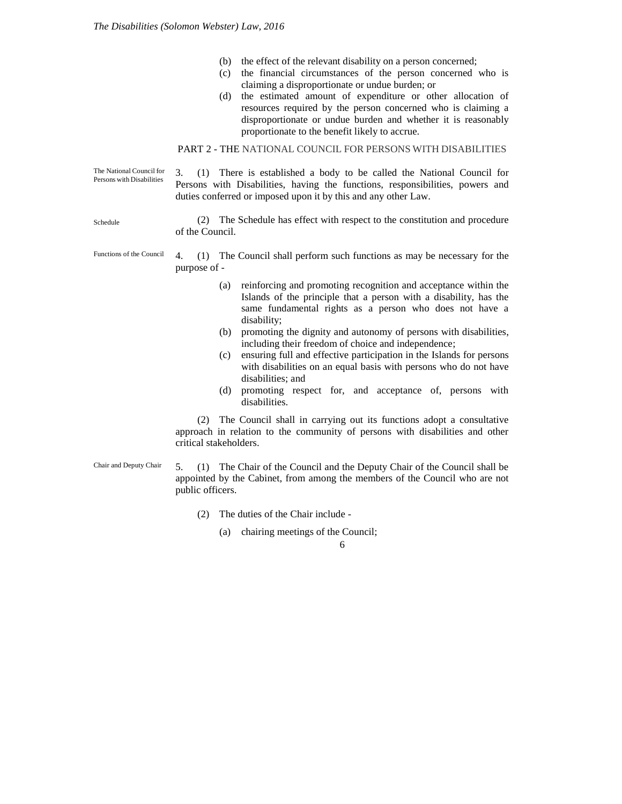- (b) the effect of the relevant disability on a person concerned;
- (c) the financial circumstances of the person concerned who is claiming a disproportionate or undue burden; or
- (d) the estimated amount of expenditure or other allocation of resources required by the person concerned who is claiming a disproportionate or undue burden and whether it is reasonably proportionate to the benefit likely to accrue.

# PART 2 - THE NATIONAL COUNCIL FOR PERSONS WITH DISABILITIES

3. (1) There is established a body to be called the National Council for Persons with Disabilities, having the functions, responsibilities, powers and duties conferred or imposed upon it by this and any other Law. The National Council for Persons with Disabilities

> (2) The Schedule has effect with respect to the constitution and procedure of the Council.

4. (1) The Council shall perform such functions as may be necessary for the purpose of - Functions of the Council

- (a) reinforcing and promoting recognition and acceptance within the Islands of the principle that a person with a disability, has the same fundamental rights as a person who does not have a disability;
- (b) promoting the dignity and autonomy of persons with disabilities, including their freedom of choice and independence;
- (c) ensuring full and effective participation in the Islands for persons with disabilities on an equal basis with persons who do not have disabilities; and
- (d) promoting respect for, and acceptance of, persons with disabilities.

(2) The Council shall in carrying out its functions adopt a consultative approach in relation to the community of persons with disabilities and other critical stakeholders.

Chair and Deputy Chair

5. (1) The Chair of the Council and the Deputy Chair of the Council shall be appointed by the Cabinet, from among the members of the Council who are not public officers.

- (2) The duties of the Chair include
	- (a) chairing meetings of the Council;

6

Schedule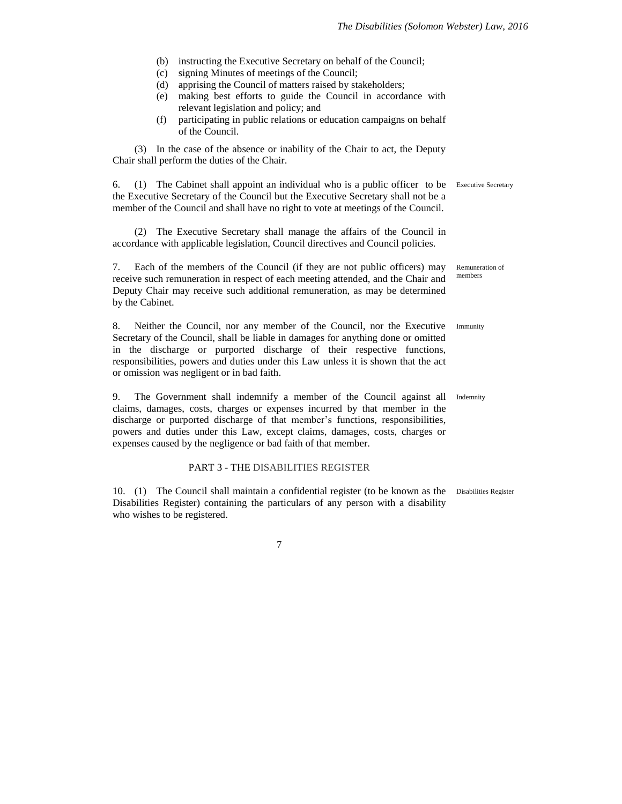- (b) instructing the Executive Secretary on behalf of the Council;
- (c) signing Minutes of meetings of the Council;
- (d) apprising the Council of matters raised by stakeholders;
- (e) making best efforts to guide the Council in accordance with relevant legislation and policy; and
- (f) participating in public relations or education campaigns on behalf of the Council.

(3) In the case of the absence or inability of the Chair to act, the Deputy Chair shall perform the duties of the Chair.

6. (1) The Cabinet shall appoint an individual who is a public officer to be Executive Secretary the Executive Secretary of the Council but the Executive Secretary shall not be a member of the Council and shall have no right to vote at meetings of the Council.

(2) The Executive Secretary shall manage the affairs of the Council in accordance with applicable legislation, Council directives and Council policies.

7. Each of the members of the Council (if they are not public officers) may receive such remuneration in respect of each meeting attended, and the Chair and Deputy Chair may receive such additional remuneration, as may be determined by the Cabinet.

8. Neither the Council, nor any member of the Council, nor the Executive Secretary of the Council, shall be liable in damages for anything done or omitted in the discharge or purported discharge of their respective functions, responsibilities, powers and duties under this Law unless it is shown that the act or omission was negligent or in bad faith.

9. The Government shall indemnify a member of the Council against all Indemnity claims, damages, costs, charges or expenses incurred by that member in the discharge or purported discharge of that member's functions, responsibilities, powers and duties under this Law, except claims, damages, costs, charges or expenses caused by the negligence or bad faith of that member.

### PART 3 - THE DISABILITIES REGISTER

10. (1) The Council shall maintain a confidential register (to be known as the Disabilities RegisterDisabilities Register) containing the particulars of any person with a disability who wishes to be registered.

7

Remuneration of members

Immunity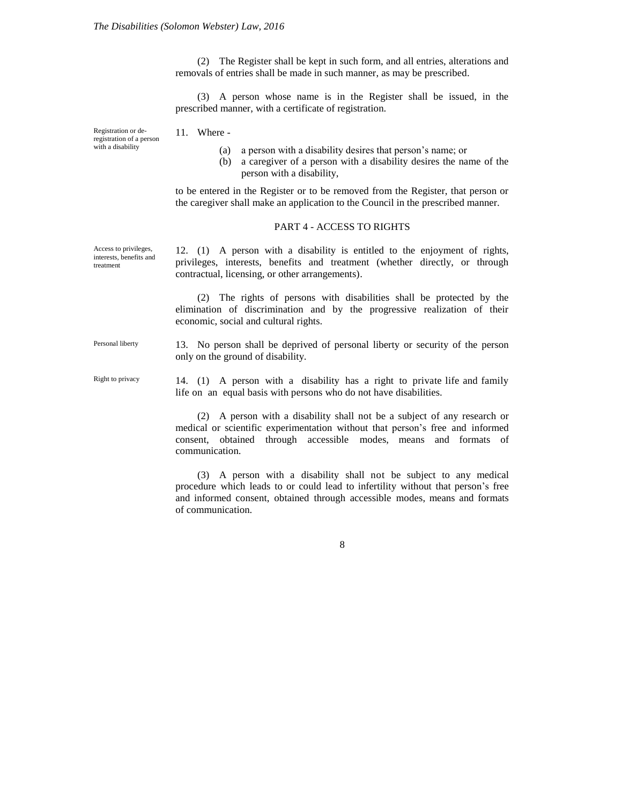(2) The Register shall be kept in such form, and all entries, alterations and removals of entries shall be made in such manner, as may be prescribed.

(3) A person whose name is in the Register shall be issued, in the prescribed manner, with a certificate of registration.

Registration or deregistration of a person with a disability

Access to privileges, interests, benefits and treatment

11. Where -

- (a) a person with a disability desires that person's name; or
- (b) a caregiver of a person with a disability desires the name of the person with a disability,

to be entered in the Register or to be removed from the Register, that person or the caregiver shall make an application to the Council in the prescribed manner.

#### PART 4 - ACCESS TO RIGHTS

12. (1) A person with a disability is entitled to the enjoyment of rights, privileges, interests, benefits and treatment (whether directly, or through contractual, licensing, or other arrangements).

(2) The rights of persons with disabilities shall be protected by the elimination of discrimination and by the progressive realization of their economic, social and cultural rights.

13. No person shall be deprived of personal liberty or security of the person only on the ground of disability. Personal liberty

14. (1) A person with a disability has a right to private life and family life on an equal basis with persons who do not have disabilities. Right to privacy

> (2) A person with a disability shall not be a subject of any research or medical or scientific experimentation without that person's free and informed consent, obtained through accessible modes, means and formats of communication.

> (3) A person with a disability shall not be subject to any medical procedure which leads to or could lead to infertility without that person's free and informed consent, obtained through accessible modes, means and formats of communication.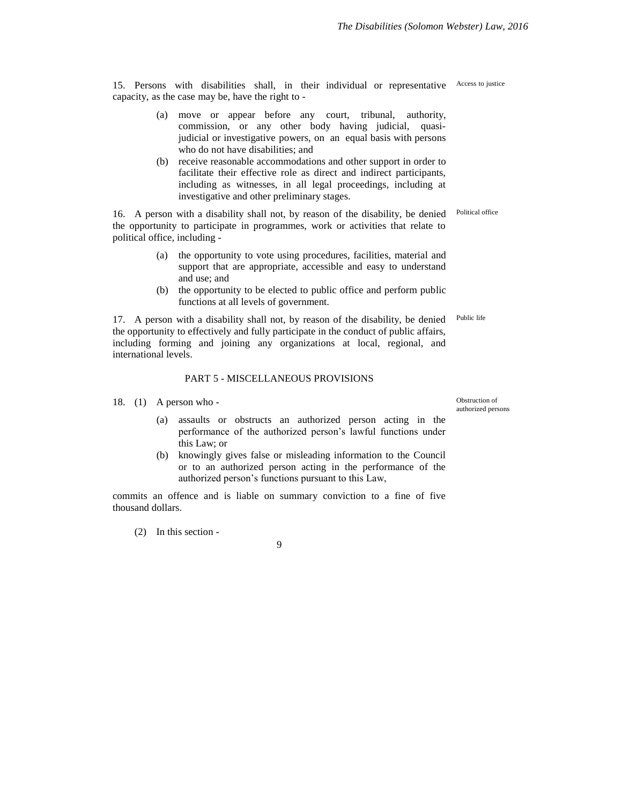15. Persons with disabilities shall, in their individual or representative Access to justice capacity, as the case may be, have the right to -

- (a) move or appear before any court, tribunal, authority, commission, or any other body having judicial, quasijudicial or investigative powers, on an equal basis with persons who do not have disabilities; and
- (b) receive reasonable accommodations and other support in order to facilitate their effective role as direct and indirect participants, including as witnesses, in all legal proceedings, including at investigative and other preliminary stages.

16. A person with a disability shall not, by reason of the disability, be denied the opportunity to participate in programmes, work or activities that relate to political office, including - Political office

- (a) the opportunity to vote using procedures, facilities, material and support that are appropriate, accessible and easy to understand and use; and
- (b) the opportunity to be elected to public office and perform public functions at all levels of government.

17. A person with a disability shall not, by reason of the disability, be denied the opportunity to effectively and fully participate in the conduct of public affairs, including forming and joining any organizations at local, regional, and international levels.

#### PART 5 - MISCELLANEOUS PROVISIONS

- 18. (1) A person who
	- (a) assaults or obstructs an authorized person acting in the performance of the authorized person's lawful functions under this Law; or
	- (b) knowingly gives false or misleading information to the Council or to an authorized person acting in the performance of the authorized person's functions pursuant to this Law,

commits an offence and is liable on summary conviction to a fine of five thousand dollars.

(2) In this section -

9

Obstruction of authorized persons

Public life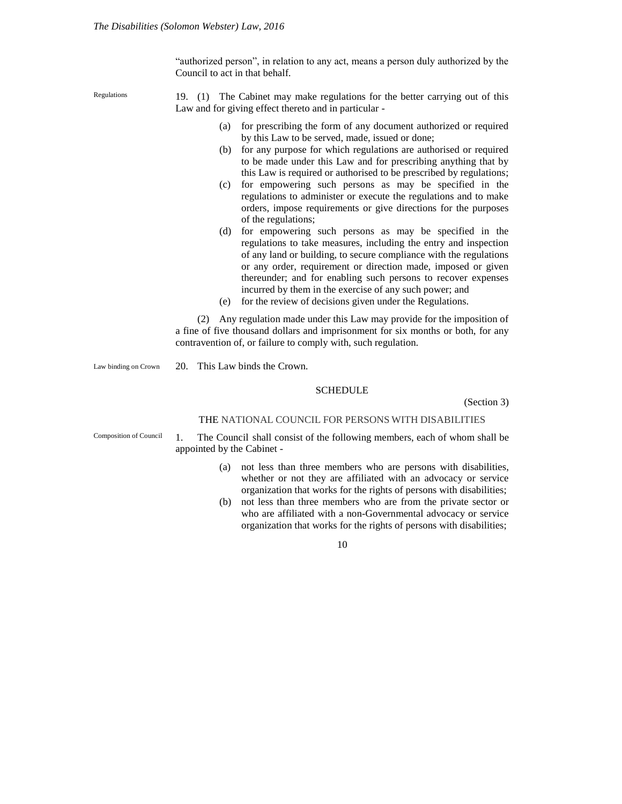"authorized person", in relation to any act, means a person duly authorized by the Council to act in that behalf.

Regulations

19. (1) The Cabinet may make regulations for the better carrying out of this Law and for giving effect thereto and in particular -

- (a) for prescribing the form of any document authorized or required by this Law to be served, made, issued or done;
- (b) for any purpose for which regulations are authorised or required to be made under this Law and for prescribing anything that by this Law is required or authorised to be prescribed by regulations;
- (c) for empowering such persons as may be specified in the regulations to administer or execute the regulations and to make orders, impose requirements or give directions for the purposes of the regulations;
- (d) for empowering such persons as may be specified in the regulations to take measures, including the entry and inspection of any land or building, to secure compliance with the regulations or any order, requirement or direction made, imposed or given thereunder; and for enabling such persons to recover expenses incurred by them in the exercise of any such power; and
- (e) for the review of decisions given under the Regulations.

(2) Any regulation made under this Law may provide for the imposition of a fine of five thousand dollars and imprisonment for six months or both, for any contravention of, or failure to comply with, such regulation.

Law binding on Crown

20. This Law binds the Crown.

### SCHEDULE

(Section 3)

#### THE NATIONAL COUNCIL FOR PERSONS WITH DISABILITIES

Composition of Council

1. The Council shall consist of the following members, each of whom shall be appointed by the Cabinet -

- (a) not less than three members who are persons with disabilities, whether or not they are affiliated with an advocacy or service organization that works for the rights of persons with disabilities;
- (b) not less than three members who are from the private sector or who are affiliated with a non-Governmental advocacy or service organization that works for the rights of persons with disabilities;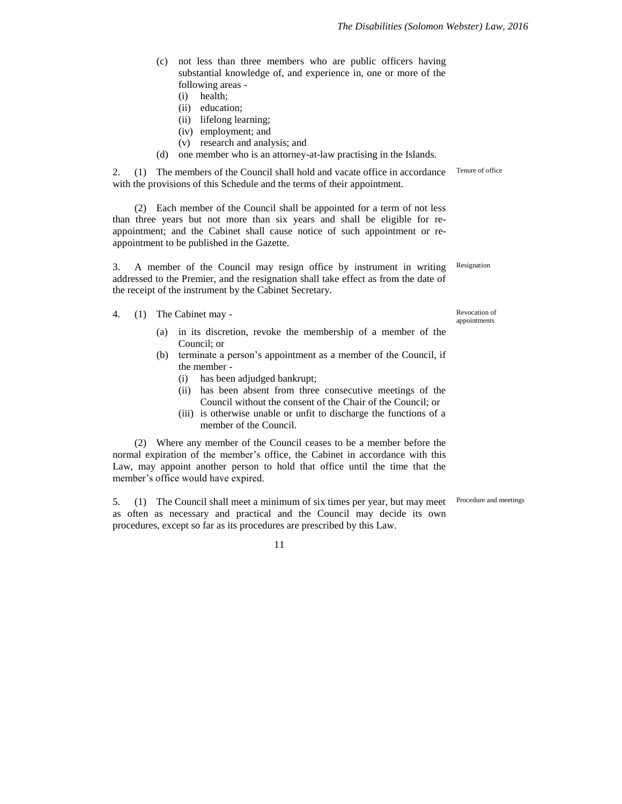- (c) not less than three members who are public officers having substantial knowledge of, and experience in, one or more of the following areas -
	- (i) health;
	- (ii) education;
	- (ii) lifelong learning;
	- (iv) employment; and
	- (v) research and analysis; and
- (d) one member who is an attorney-at-law practising in the Islands.

2. (1) The members of the Council shall hold and vacate office in accordance with the provisions of this Schedule and the terms of their appointment.

(2) Each member of the Council shall be appointed for a term of not less than three years but not more than six years and shall be eligible for reappointment; and the Cabinet shall cause notice of such appointment or reappointment to be published in the Gazette.

3. A member of the Council may resign office by instrument in writing addressed to the Premier, and the resignation shall take effect as from the date of the receipt of the instrument by the Cabinet Secretary.

- 4. (1) The Cabinet may
	- (a) in its discretion, revoke the membership of a member of the Council; or
	- (b) terminate a person's appointment as a member of the Council, if the member -
		- (i) has been adjudged bankrupt;
		- (ii) has been absent from three consecutive meetings of the Council without the consent of the Chair of the Council; or
		- (iii) is otherwise unable or unfit to discharge the functions of a member of the Council.

(2) Where any member of the Council ceases to be a member before the normal expiration of the member's office, the Cabinet in accordance with this Law, may appoint another person to hold that office until the time that the member's office would have expired.

5. (1) The Council shall meet a minimum of six times per year, but may meet as often as necessary and practical and the Council may decide its own procedures, except so far as its procedures are prescribed by this Law.

Revocation of appointments

Resignation

Tenure of office

Procedure and meetings